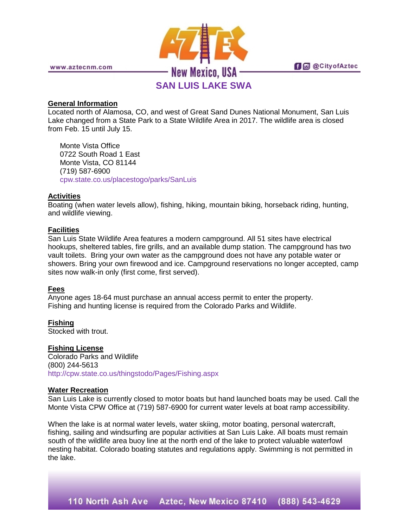

www.aztecnm.com

**f** @ @ City of Aztec

# **SAN LUIS LAKE SWA**

## **General Information**

Located north of Alamosa, CO, and west of Great Sand Dunes National Monument, San Luis Lake changed from a State Park to a State Wildlife Area in 2017. The wildlife area is closed from Feb. 15 until July 15.

Monte Vista Office 0722 South Road 1 East Monte Vista, CO 81144 (719) 587-6900 [cpw.state.co.us/placestogo/parks/SanLuis](http://cpw.state.co.us/placestogo/parks/SanLuis)

## **Activities**

Boating (when water levels allow), fishing, hiking, mountain biking, horseback riding, hunting, and wildlife viewing.

## **Facilities**

San Luis State Wildlife Area features a modern campground. All 51 sites have electrical hookups, sheltered tables, fire grills, and an available dump station. The campground has two vault toilets. Bring your own water as the campground does not have any potable water or showers. Bring your own firewood and ice. Campground reservations no longer accepted, camp sites now walk-in only (first come, first served).

## **Fees**

Anyone ages 18-64 must purchase an annual access permit to enter the property. Fishing and hunting license is required from the Colorado Parks and Wildlife.

**Fishing** Stocked with trout.

**Fishing License** Colorado Parks and Wildlife (800) 244-5613 <http://cpw.state.co.us/thingstodo/Pages/Fishing.aspx>

### **Water Recreation**

San Luis Lake is currently closed to motor boats but hand launched boats may be used. Call the Monte Vista CPW Office at (719) 587-6900 for current water levels at boat ramp accessibility.

When the lake is at normal water levels, water skiing, motor boating, personal watercraft, fishing, sailing and windsurfing are popular activities at San Luis Lake. All boats must remain south of the wildlife area buoy line at the north end of the lake to protect valuable waterfowl nesting habitat. Colorado boating statutes and regulations apply. Swimming is not permitted in the lake.

110 North Ash Ave Aztec, New Mexico 87410 (888) 543-4629